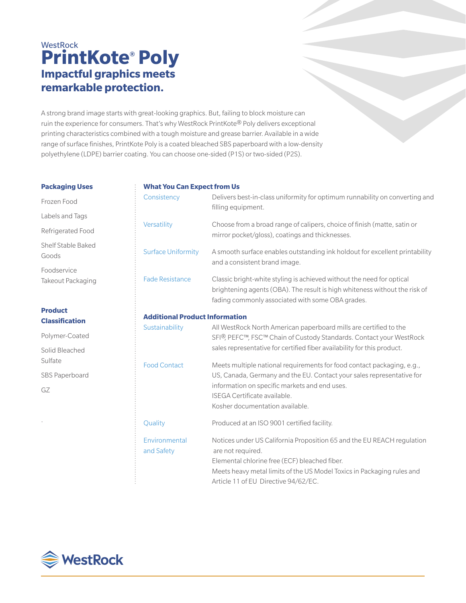# **WestRock PrintKote® Poly Impactful graphics meets remarkable protection.**

A strong brand image starts with great-looking graphics. But, failing to block moisture can ruin the experience for consumers. That's why WestRock PrintKote® Poly delivers exceptional printing characteristics combined with a tough moisture and grease barrier. Available in a wide range of surface finishes, PrintKote Poly is a coated bleached SBS paperboard with a low-density polyethylene (LDPE) barrier coating. You can choose one-sided (P1S) or two-sided (P2S).

#### **Packaging Uses**

## Frozen Food Labels and Tags Refrigerated Food Shelf Stable Baked Goods Foodservice

Takeout Packaging

## **Product Classification**

Polymer-Coated Solid Bleached Sulfate SBS Paperboard

GZ

.

| <b>What You Can Expect from Us</b>    |                                                                                                                                                                                                                                                                     |
|---------------------------------------|---------------------------------------------------------------------------------------------------------------------------------------------------------------------------------------------------------------------------------------------------------------------|
| Consistency                           | Delivers best-in-class uniformity for optimum runnability on converting and<br>filling equipment.                                                                                                                                                                   |
| Versatility                           | Choose from a broad range of calipers, choice of finish (matte, satin or<br>mirror pocket/gloss), coatings and thicknesses.                                                                                                                                         |
| <b>Surface Uniformity</b>             | A smooth surface enables outstanding ink holdout for excellent printability<br>and a consistent brand image.                                                                                                                                                        |
| <b>Fade Resistance</b>                | Classic bright-white styling is achieved without the need for optical<br>brightening agents (OBA). The result is high whiteness without the risk of<br>fading commonly associated with some OBA grades.                                                             |
| <b>Additional Product Information</b> |                                                                                                                                                                                                                                                                     |
| Sustainability                        | All WestRock North American paperboard mills are certified to the<br>SFI <sup>®</sup> , PEFC™, FSC™ Chain of Custody Standards. Contact your WestRock<br>sales representative for certified fiber availability for this product.                                    |
| <b>Food Contact</b>                   | Meets multiple national requirements for food contact packaging, e.g.,<br>US, Canada, Germany and the EU. Contact your sales representative for<br>information on specific markets and end uses.<br>ISEGA Certificate available.<br>Kosher documentation available. |
| Quality                               | Produced at an ISO 9001 certified facility.                                                                                                                                                                                                                         |
| Environmental<br>and Safety           | Notices under US California Proposition 65 and the EU REACH regulation<br>are not required.<br>Elemental chlorine free (ECF) bleached fiber.<br>Meets heavy metal limits of the US Model Toxics in Packaging rules and<br>Article 11 of EU Directive 94/62/EC.      |